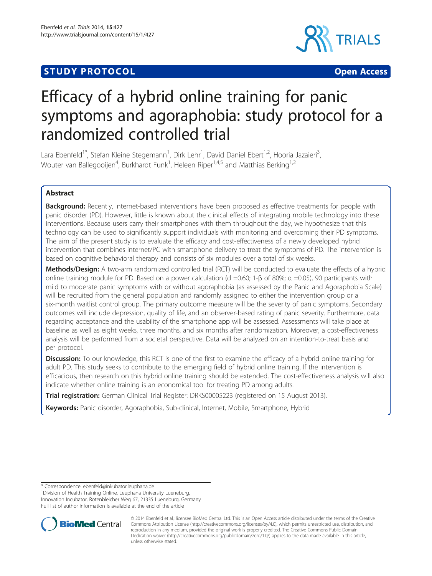## **STUDY PROTOCOL CONSUMING THE CONSUMING OPEN ACCESS**



# Efficacy of a hybrid online training for panic symptoms and agoraphobia: study protocol for a randomized controlled trial

Lara Ebenfeld<sup>1\*</sup>, Stefan Kleine Stegemann<sup>1</sup>, Dirk Lehr<sup>1</sup>, David Daniel Ebert<sup>1,2</sup>, Hooria Jazaieri<sup>3</sup> , Wouter van Ballegooijen<sup>4</sup>, Burkhardt Funk<sup>1</sup>, Heleen Riper<sup>1,4,5</sup> and Matthias Berking<sup>1,2</sup>

#### Abstract

**Background:** Recently, internet-based interventions have been proposed as effective treatments for people with panic disorder (PD). However, little is known about the clinical effects of integrating mobile technology into these interventions. Because users carry their smartphones with them throughout the day, we hypothesize that this technology can be used to significantly support individuals with monitoring and overcoming their PD symptoms. The aim of the present study is to evaluate the efficacy and cost-effectiveness of a newly developed hybrid intervention that combines internet/PC with smartphone delivery to treat the symptoms of PD. The intervention is based on cognitive behavioral therapy and consists of six modules over a total of six weeks.

Methods/Design: A two-arm randomized controlled trial (RCT) will be conducted to evaluate the effects of a hybrid online training module for PD. Based on a power calculation (d =0.60; 1-β of 80%;  $\alpha$  =0.05), 90 participants with mild to moderate panic symptoms with or without agoraphobia (as assessed by the Panic and Agoraphobia Scale) will be recruited from the general population and randomly assigned to either the intervention group or a six-month waitlist control group. The primary outcome measure will be the severity of panic symptoms. Secondary outcomes will include depression, quality of life, and an observer-based rating of panic severity. Furthermore, data regarding acceptance and the usability of the smartphone app will be assessed. Assessments will take place at baseline as well as eight weeks, three months, and six months after randomization. Moreover, a cost-effectiveness analysis will be performed from a societal perspective. Data will be analyzed on an intention-to-treat basis and per protocol.

**Discussion:** To our knowledge, this RCT is one of the first to examine the efficacy of a hybrid online training for adult PD. This study seeks to contribute to the emerging field of hybrid online training. If the intervention is efficacious, then research on this hybrid online training should be extended. The cost-effectiveness analysis will also indicate whether online training is an economical tool for treating PD among adults.

Trial registration: German Clinical Trial Register: [DRKS00005223](https://drks-neu.uniklinik-freiburg.de/drks_web/setLocale_EN.do) (registered on 15 August 2013).

Keywords: Panic disorder, Agoraphobia, Sub-clinical, Internet, Mobile, Smartphone, Hybrid

<sup>1</sup> Division of Health Training Online, Leuphana University Lueneburg, Innovation Incubator, Rotenbleicher Weg 67, 21335 Lueneburg, Germany Full list of author information is available at the end of the article



© 2014 Ebenfeld et al.; licensee BioMed Central Ltd. This is an Open Access article distributed under the terms of the Creative Commons Attribution License [\(http://creativecommons.org/licenses/by/4.0\)](http://creativecommons.org/licenses/by/4.0), which permits unrestricted use, distribution, and reproduction in any medium, provided the original work is properly credited. The Creative Commons Public Domain Dedication waiver [\(http://creativecommons.org/publicdomain/zero/1.0/](http://creativecommons.org/publicdomain/zero/1.0/)) applies to the data made available in this article, unless otherwise stated.

<sup>\*</sup> Correspondence: [ebenfeld@inkubator.leuphana.de](mailto:ebenfeld@inkubator.leuphana.de) <sup>1</sup>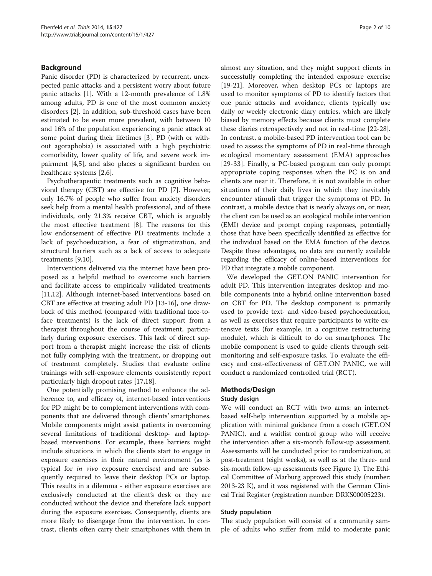#### Background

Panic disorder (PD) is characterized by recurrent, unexpected panic attacks and a persistent worry about future panic attacks [[1\]](#page-8-0). With a 12-month prevalence of 1.8% among adults, PD is one of the most common anxiety disorders [[2\]](#page-8-0). In addition, sub-threshold cases have been estimated to be even more prevalent, with between 10 and 16% of the population experiencing a panic attack at some point during their lifetimes [[3\]](#page-8-0). PD (with or without agoraphobia) is associated with a high psychiatric comorbidity, lower quality of life, and severe work impairment [\[4,5](#page-8-0)], and also places a significant burden on healthcare systems [\[2,6](#page-8-0)].

Psychotherapeutic treatments such as cognitive behavioral therapy (CBT) are effective for PD [\[7](#page-8-0)]. However, only 16.7% of people who suffer from anxiety disorders seek help from a mental health professional, and of these individuals, only 21.3% receive CBT, which is arguably the most effective treatment [[8\]](#page-8-0). The reasons for this low endorsement of effective PD treatments include a lack of psychoeducation, a fear of stigmatization, and structural barriers such as a lack of access to adequate treatments [[9,10\]](#page-8-0).

Interventions delivered via the internet have been proposed as a helpful method to overcome such barriers and facilitate access to empirically validated treatments [[11,12\]](#page-8-0). Although internet-based interventions based on CBT are effective at treating adult PD [\[13](#page-8-0)-[16\]](#page-8-0), one drawback of this method (compared with traditional face-toface treatments) is the lack of direct support from a therapist throughout the course of treatment, particularly during exposure exercises. This lack of direct support from a therapist might increase the risk of clients not fully complying with the treatment, or dropping out of treatment completely. Studies that evaluate online trainings with self-exposure elements consistently report particularly high dropout rates [\[17,18\]](#page-8-0).

One potentially promising method to enhance the adherence to, and efficacy of, internet-based interventions for PD might be to complement interventions with components that are delivered through clients' smartphones. Mobile components might assist patients in overcoming several limitations of traditional desktop- and laptopbased interventions. For example, these barriers might include situations in which the clients start to engage in exposure exercises in their natural environment (as is typical for in vivo exposure exercises) and are subsequently required to leave their desktop PCs or laptop. This results in a dilemma - either exposure exercises are exclusively conducted at the client's desk or they are conducted without the device and therefore lack support during the exposure exercises. Consequently, clients are more likely to disengage from the intervention. In contrast, clients often carry their smartphones with them in

almost any situation, and they might support clients in successfully completing the intended exposure exercise [[19-21](#page-8-0)]. Moreover, when desktop PCs or laptops are used to monitor symptoms of PD to identify factors that cue panic attacks and avoidance, clients typically use daily or weekly electronic diary entries, which are likely biased by memory effects because clients must complete these diaries retrospectively and not in real-time [\[22-28](#page-8-0)]. In contrast, a mobile-based PD intervention tool can be used to assess the symptoms of PD in real-time through ecological momentary assessment (EMA) approaches [[29](#page-8-0)-[33](#page-8-0)]. Finally, a PC-based program can only prompt appropriate coping responses when the PC is on and clients are near it. Therefore, it is not available in other situations of their daily lives in which they inevitably encounter stimuli that trigger the symptoms of PD. In contrast, a mobile device that is nearly always on, or near, the client can be used as an ecological mobile intervention (EMI) device and prompt coping responses, potentially those that have been specifically identified as effective for the individual based on the EMA function of the device. Despite these advantages, no data are currently available regarding the efficacy of online-based interventions for PD that integrate a mobile component.

We developed the GET.ON PANIC intervention for adult PD. This intervention integrates desktop and mobile components into a hybrid online intervention based on CBT for PD. The desktop component is primarily used to provide text- and video-based psychoeducation, as well as exercises that require participants to write extensive texts (for example, in a cognitive restructuring module), which is difficult to do on smartphones. The mobile component is used to guide clients through selfmonitoring and self-exposure tasks. To evaluate the efficacy and cost-effectiveness of GET.ON PANIC, we will conduct a randomized controlled trial (RCT).

#### Methods/Design

#### Study design

We will conduct an RCT with two arms: an internetbased self-help intervention supported by a mobile application with minimal guidance from a coach (GET.ON PANIC), and a waitlist control group who will receive the intervention after a six-month follow-up assessment. Assessments will be conducted prior to randomization, at post-treatment (eight weeks), as well as at the three- and six-month follow-up assessments (see Figure [1](#page-2-0)). The Ethical Committee of Marburg approved this study (number: 2013-23 K), and it was registered with the German Clinical Trial Register (registration number: DRKS00005223).

#### Study population

The study population will consist of a community sample of adults who suffer from mild to moderate panic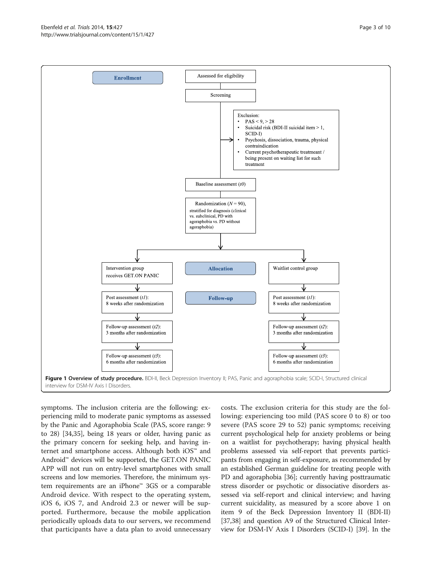<span id="page-2-0"></span>

symptoms. The inclusion criteria are the following: experiencing mild to moderate panic symptoms as assessed by the Panic and Agoraphobia Scale (PAS, score range: 9 to 28) [\[34,35](#page-8-0)], being 18 years or older, having panic as the primary concern for seeking help, and having internet and smartphone access. Although both iOS™ and Android™ devices will be supported, the GET.ON PANIC APP will not run on entry-level smartphones with small screens and low memories. Therefore, the minimum system requirements are an iPhone™ 3GS or a comparable Android device. With respect to the operating system, iOS 6, iOS 7, and Android 2.3 or newer will be supported. Furthermore, because the mobile application periodically uploads data to our servers, we recommend that participants have a data plan to avoid unnecessary costs. The exclusion criteria for this study are the following: experiencing too mild (PAS score 0 to 8) or too severe (PAS score 29 to 52) panic symptoms; receiving current psychological help for anxiety problems or being on a waitlist for psychotherapy; having physical health problems assessed via self-report that prevents participants from engaging in self-exposure, as recommended by an established German guideline for treating people with PD and agoraphobia [\[36\]](#page-8-0); currently having posttraumatic stress disorder or psychotic or dissociative disorders assessed via self-report and clinical interview; and having current suicidality, as measured by a score above 1 on item 9 of the Beck Depression Inventory II (BDI-II) [[37](#page-8-0),[38](#page-8-0)] and question A9 of the Structured Clinical Interview for DSM-IV Axis I Disorders (SCID-I) [\[39\]](#page-8-0). In the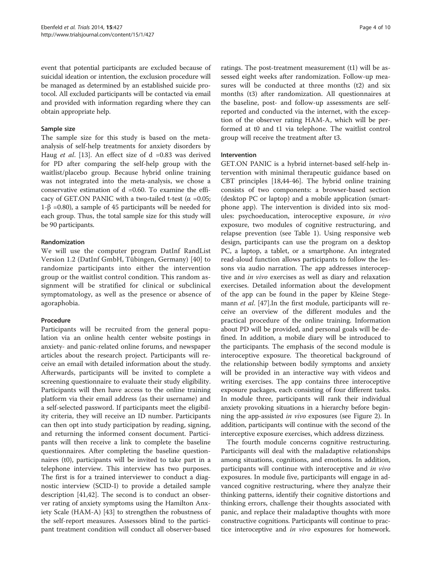event that potential participants are excluded because of suicidal ideation or intention, the exclusion procedure will be managed as determined by an established suicide protocol. All excluded participants will be contacted via email and provided with information regarding where they can obtain appropriate help.

#### Sample size

The sample size for this study is based on the metaanalysis of self-help treatments for anxiety disorders by Haug et al. [[13\]](#page-8-0). An effect size of d =0.83 was derived for PD after comparing the self-help group with the waitlist/placebo group. Because hybrid online training was not integrated into the meta-analysis, we chose a conservative estimation of  $d = 0.60$ . To examine the efficacy of GET.ON PANIC with a two-tailed t-test ( $\alpha$  =0.05; 1-β =0.80), a sample of 45 participants will be needed for each group. Thus, the total sample size for this study will be 90 participants.

#### Randomization

We will use the computer program DatInf RandList Version 1.2 (DatInf GmbH, Tübingen, Germany) [[40](#page-8-0)] to randomize participants into either the intervention group or the waitlist control condition. This random assignment will be stratified for clinical or subclinical symptomatology, as well as the presence or absence of agoraphobia.

#### Procedure

Participants will be recruited from the general population via an online health center website postings in anxiety- and panic-related online forums, and newspaper articles about the research project. Participants will receive an email with detailed information about the study. Afterwards, participants will be invited to complete a screening questionnaire to evaluate their study eligibility. Participants will then have access to the online training platform via their email address (as their username) and a self-selected password. If participants meet the eligibility criteria, they will receive an ID number. Participants can then opt into study participation by reading, signing, and returning the informed consent document. Participants will then receive a link to complete the baseline questionnaires. After completing the baseline questionnaires (t0), participants will be invited to take part in a telephone interview. This interview has two purposes. The first is for a trained interviewer to conduct a diagnostic interview (SCID-I) to provide a detailed sample description [\[41,42\]](#page-8-0). The second is to conduct an observer rating of anxiety symptoms using the Hamilton Anxiety Scale (HAM-A) [[43](#page-8-0)] to strengthen the robustness of the self-report measures. Assessors blind to the participant treatment condition will conduct all observer-based ratings. The post-treatment measurement (t1) will be assessed eight weeks after randomization. Follow-up measures will be conducted at three months (t2) and six months (t3) after randomization. All questionnaires at the baseline, post- and follow-up assessments are selfreported and conducted via the internet, with the exception of the observer rating HAM-A, which will be performed at t0 and t1 via telephone. The waitlist control group will receive the treatment after t3.

#### Intervention

GET.ON PANIC is a hybrid internet-based self-help intervention with minimal therapeutic guidance based on CBT principles [\[18](#page-8-0)[,44](#page-9-0)-[46](#page-9-0)]. The hybrid online training consists of two components: a browser-based section (desktop PC or laptop) and a mobile application (smartphone app). The intervention is divided into six modules: psychoeducation, interoceptive exposure, in vivo exposure, two modules of cognitive restructuring, and relapse prevention (see Table [1](#page-4-0)). Using responsive web design, participants can use the program on a desktop PC, a laptop, a tablet, or a smartphone. An integrated read-aloud function allows participants to follow the lessons via audio narration. The app addresses interoceptive and in vivo exercises as well as diary and relaxation exercises. Detailed information about the development of the app can be found in the paper by Kleine Stegemann *et al.* [[47\]](#page-9-0). In the first module, participants will receive an overview of the different modules and the practical procedure of the online training. Information about PD will be provided, and personal goals will be defined. In addition, a mobile diary will be introduced to the participants. The emphasis of the second module is interoceptive exposure. The theoretical background of the relationship between bodily symptoms and anxiety will be provided in an interactive way with videos and writing exercises. The app contains three interoceptive exposure packages, each consisting of four different tasks. In module three, participants will rank their individual anxiety provoking situations in a hierarchy before beginning the app-assisted in vivo exposures (see Figure [2](#page-5-0)). In addition, participants will continue with the second of the interceptive exposure exercises, which address dizziness.

The fourth module concerns cognitive restructuring. Participants will deal with the maladaptive relationships among situations, cognitions, and emotions. In addition, participants will continue with interoceptive and in vivo exposures. In module five, participants will engage in advanced cognitive restructuring, where they analyze their thinking patterns, identify their cognitive distortions and thinking errors, challenge their thoughts associated with panic, and replace their maladaptive thoughts with more constructive cognitions. Participants will continue to practice interoceptive and in vivo exposures for homework.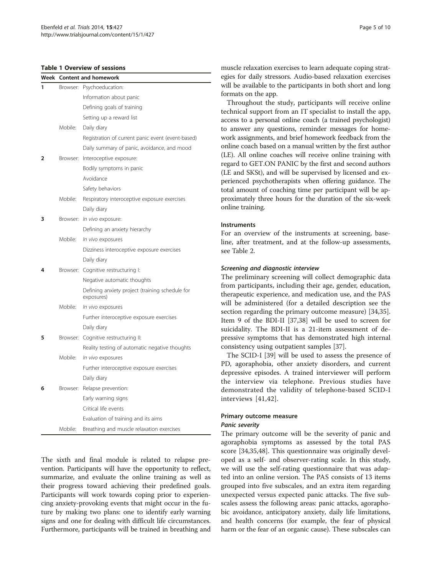#### <span id="page-4-0"></span>Table 1 Overview of sessions

|   | Week Content and homework |                                                               |  |  |  |
|---|---------------------------|---------------------------------------------------------------|--|--|--|
| 1 |                           | Browser: Psychoeducation:                                     |  |  |  |
|   |                           | Information about panic                                       |  |  |  |
|   |                           | Defining goals of training                                    |  |  |  |
|   |                           | Setting up a reward list                                      |  |  |  |
|   | Mobile:                   | Daily diary                                                   |  |  |  |
|   |                           | Registration of current panic event (event-based)             |  |  |  |
|   |                           | Daily summary of panic, avoidance, and mood                   |  |  |  |
| 2 | Browser:                  | Interoceptive exposure:                                       |  |  |  |
|   |                           | Bodily symptoms in panic                                      |  |  |  |
|   |                           | Avoidance                                                     |  |  |  |
|   |                           | Safety behaviors                                              |  |  |  |
|   | Mobile:                   | Respiratory interoceptive exposure exercises                  |  |  |  |
|   |                           | Daily diary                                                   |  |  |  |
| 3 |                           | Browser: In vivo exposure:                                    |  |  |  |
|   |                           | Defining an anxiety hierarchy                                 |  |  |  |
|   | Mobile:                   | In vivo exposures                                             |  |  |  |
|   |                           | Dizziness interoceptive exposure exercises                    |  |  |  |
|   |                           | Daily diary                                                   |  |  |  |
| 4 |                           | Browser: Cognitive restructuring I:                           |  |  |  |
|   |                           | Negative automatic thoughts                                   |  |  |  |
|   |                           | Defining anxiety project (training schedule for<br>exposures) |  |  |  |
|   | Mobile:                   | In vivo exposures                                             |  |  |  |
|   |                           | Further interoceptive exposure exercises                      |  |  |  |
|   |                           | Daily diary                                                   |  |  |  |
| 5 | Browser:                  | Cognitive restructuring II:                                   |  |  |  |
|   |                           | Reality testing of automatic negative thoughts                |  |  |  |
|   | Mobile:                   | In vivo exposures                                             |  |  |  |
|   |                           | Further interoceptive exposure exercises                      |  |  |  |
|   |                           | Daily diary                                                   |  |  |  |
| 6 |                           | Browser: Relapse prevention:                                  |  |  |  |
|   |                           | Early warning signs                                           |  |  |  |
|   |                           | Critical life events                                          |  |  |  |
|   |                           | Evaluation of training and its aims                           |  |  |  |
|   | Mobile:                   | Breathing and muscle relaxation exercises                     |  |  |  |

The sixth and final module is related to relapse prevention. Participants will have the opportunity to reflect, summarize, and evaluate the online training as well as their progress toward achieving their predefined goals. Participants will work towards coping prior to experiencing anxiety-provoking events that might occur in the future by making two plans: one to identify early warning signs and one for dealing with difficult life circumstances. Furthermore, participants will be trained in breathing and

muscle relaxation exercises to learn adequate coping strategies for daily stressors. Audio-based relaxation exercises will be available to the participants in both short and long formats on the app.

Throughout the study, participants will receive online technical support from an IT specialist to install the app, access to a personal online coach (a trained psychologist) to answer any questions, reminder messages for homework assignments, and brief homework feedback from the online coach based on a manual written by the first author (LE). All online coaches will receive online training with regard to GET.ON PANIC by the first and second authors (LE and SKSt), and will be supervised by licensed and experienced psychotherapists when offering guidance. The total amount of coaching time per participant will be approximately three hours for the duration of the six-week online training.

#### Instruments

For an overview of the instruments at screening, baseline, after treatment, and at the follow-up assessments, see Table [2.](#page-5-0)

#### Screening and diagnostic interview

The preliminary screening will collect demographic data from participants, including their age, gender, education, therapeutic experience, and medication use, and the PAS will be administered (for a detailed description see the section regarding the primary outcome measure) [\[34,35](#page-8-0)]. Item 9 of the BDI-II [[37,38\]](#page-8-0) will be used to screen for suicidality. The BDI-II is a 21-item assessment of depressive symptoms that has demonstrated high internal consistency using outpatient samples [[37](#page-8-0)].

The SCID-I [[39](#page-8-0)] will be used to assess the presence of PD, agoraphobia, other anxiety disorders, and current depressive episodes. A trained interviewer will perform the interview via telephone. Previous studies have demonstrated the validity of telephone-based SCID-I interviews [[41,42](#page-8-0)].

### Primary outcome measure

#### Panic severity

The primary outcome will be the severity of panic and agoraphobia symptoms as assessed by the total PAS score [\[34,35](#page-8-0)[,48](#page-9-0)]. This questionnaire was originally developed as a self- and observer-rating scale. In this study, we will use the self-rating questionnaire that was adapted into an online version. The PAS consists of 13 items grouped into five subscales, and an extra item regarding unexpected versus expected panic attacks. The five subscales assess the following areas: panic attacks, agoraphobic avoidance, anticipatory anxiety, daily life limitations, and health concerns (for example, the fear of physical harm or the fear of an organic cause). These subscales can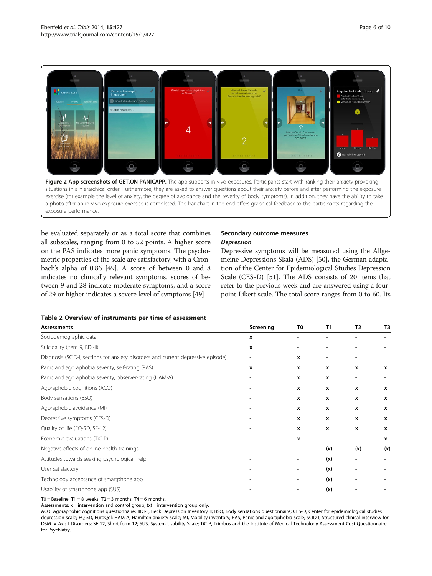<span id="page-5-0"></span>

Figure 2 App screenshots of GET.ON PANICAPP. The app supports in vivo exposures. Participants start with ranking their anxiety provoking situations in a hierarchical order. Furthermore, they are asked to answer questions about their anxiety before and after performing the exposure exercise (for example the level of anxiety, the degree of avoidance and the severity of body symptoms). In addition, they have the ability to take a photo after an in vivo exposure exercise is completed. The bar chart in the end offers graphical feedback to the participants regarding the exposure performance.

be evaluated separately or as a total score that combines all subscales, ranging from 0 to 52 points. A higher score on the PAS indicates more panic symptoms. The psychometric properties of the scale are satisfactory, with a Cronbach's alpha of 0.86 [\[49](#page-9-0)]. A score of between 0 and 8 indicates no clinically relevant symptoms, scores of between 9 and 28 indicate moderate symptoms, and a score of 29 or higher indicates a severe level of symptoms [[49\]](#page-9-0).

## Secondary outcome measures

Depression

Depressive symptoms will be measured using the Allgemeine Depressions-Skala (ADS) [\[50\]](#page-9-0), the German adaptation of the Center for Epidemiological Studies Depression Scale (CES-D) [\[51\]](#page-9-0). The ADS consists of 20 items that refer to the previous week and are answered using a fourpoint Likert scale. The total score ranges from 0 to 60. Its

#### Table 2 Overview of instruments per time of assessment

| Assessments                                                                       | Screening | T0 | <b>T1</b>    | T <sub>2</sub>            | T <sub>3</sub> |
|-----------------------------------------------------------------------------------|-----------|----|--------------|---------------------------|----------------|
| Sociodemographic data                                                             | x         |    |              |                           |                |
| Suicidality (Item 9, BDI-II)                                                      | x         |    |              |                           |                |
| Diagnosis (SCID-I, sections for anxiety disorders and current depressive episode) |           | x  |              |                           |                |
| Panic and agoraphobia severity, self-rating (PAS)                                 | x         | x  | $\mathbf{x}$ | $\mathbf{x}$              | $\mathbf{x}$   |
| Panic and agoraphobia severity, observer-rating (HAM-A)                           |           | x  | $\mathbf{x}$ |                           |                |
| Agoraphobic cognitions (ACQ)                                                      |           | x  | $\mathbf{x}$ | x                         | x              |
| Body sensations (BSQ)                                                             |           | x  | x            | x                         | x              |
| Agoraphobic avoidance (MI)                                                        |           | x  | x            | x                         | x              |
| Depressive symptoms (CES-D)                                                       |           | x  | x            | $\boldsymbol{\mathsf{x}}$ | x              |
| Quality of life (EQ-5D, SF-12)                                                    |           | x  | $\mathbf{x}$ | $\mathbf{x}$              | $\mathbf{x}$   |
| Economic evaluations (TiC-P)                                                      |           | x  |              | ۰                         | $\mathbf{x}$   |
| Negative effects of online health trainings                                       |           |    | (x)          | (x)                       | (x)            |
| Attitudes towards seeking psychological help                                      |           |    | (x)          |                           |                |
| User satisfactory                                                                 |           |    | (x)          |                           |                |
| Technology acceptance of smartphone app                                           |           |    | (x)          |                           |                |
| Usability of smartphone app (SUS)                                                 |           |    | (x)          |                           |                |

T0 = Baseline, T1 = 8 weeks, T2 = 3 months, T4 = 6 months.

Assessments:  $x =$  intervention and control group,  $(x) =$  intervention group only.

ACQ, Agoraphobic cognitions questionnaire; BDI-II, Beck Depression Inventory II; BSQ, Body sensations questionnaire; CES-D, Center for epidemiological studies depression scale; EQ-5D, EuroQol; HAM-A, Hamilton anxiety scale; MI, Mobility inventory; PAS, Panic and agoraphobia scale; SCID-I, Structured clinical interview for DSM-IV Axis I Disorders; SF-12, Short form 12; SUS, System Usability Scale; TiC-P, Trimbos and the Institute of Medical Technology Assessment Cost Questionnaire for Psychiatry.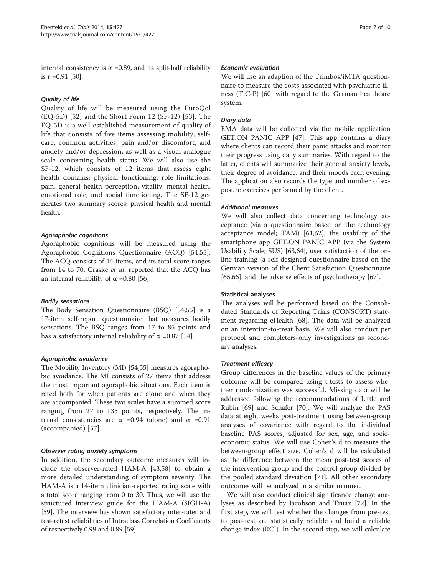internal consistency is  $\alpha$  =0.89, and its split-half reliability is  $r = 0.91$  [[50](#page-9-0)].

#### Quality of life

Quality of life will be measured using the EuroQol (EQ-5D) [[52\]](#page-9-0) and the Short Form 12 (SF-12) [[53](#page-9-0)]. The EQ-5D is a well-established measurement of quality of life that consists of five items assessing mobility, selfcare, common activities, pain and/or discomfort, and anxiety and/or depression, as well as a visual analogue scale concerning health status. We will also use the SF-12, which consists of 12 items that assess eight health domains: physical functioning, role limitations, pain, general health perception, vitality, mental health, emotional role, and social functioning. The SF-12 generates two summary scores: physical health and mental health.

#### Agoraphobic cognitions

Agoraphobic cognitions will be measured using the Agoraphobic Cognitions Questionnaire (ACQ) [\[54,55](#page-9-0)]. The ACQ consists of 14 items, and its total score ranges from 14 to 70. Craske et al. reported that the ACQ has an internal reliability of  $\alpha$  =0.80 [[56\]](#page-9-0).

#### Bodily sensations

The Body Sensation Questionnaire (BSQ) [\[54,55](#page-9-0)] is a 17-item self-report questionnaire that measures bodily sensations. The BSQ ranges from 17 to 85 points and has a satisfactory internal reliability of  $\alpha$  =0.87 [[54\]](#page-9-0).

#### Agoraphobic avoidance

The Mobility Inventory (MI) [\[54,55](#page-9-0)] measures agoraphobic avoidance. The MI consists of 27 items that address the most important agoraphobic situations. Each item is rated both for when patients are alone and when they are accompanied. These two scales have a summed score ranging from 27 to 135 points, respectively. The internal consistencies are  $\alpha$  =0.94 (alone) and  $\alpha$  =0.91 (accompanied) [[57](#page-9-0)].

#### Observer rating anxiety symptoms

In addition, the secondary outcome measures will include the observer-rated HAM-A [[43](#page-8-0)[,58](#page-9-0)] to obtain a more detailed understanding of symptom severity. The HAM-A is a 14-item clinician-reported rating scale with a total score ranging from 0 to 30. Thus, we will use the structured interview guide for the HAM-A (SIGH-A) [[59](#page-9-0)]. The interview has shown satisfactory inter-rater and test-retest reliabilities of Intraclass Correlation Coefficients of respectively 0.99 and 0.89 [[59](#page-9-0)].

#### Economic evaluation

We will use an adaption of the Trimbos/iMTA questionnaire to measure the costs associated with psychiatric illness (TiC-P) [[60](#page-9-0)] with regard to the German healthcare system.

#### Diary data

EMA data will be collected via the mobile application GET.ON PANIC APP [[47\]](#page-9-0). This app contains a diary where clients can record their panic attacks and monitor their progress using daily summaries. With regard to the latter, clients will summarize their general anxiety levels, their degree of avoidance, and their moods each evening. The application also records the type and number of exposure exercises performed by the client.

#### Additional measures

We will also collect data concerning technology acceptance (via a questionnaire based on the technology acceptance model; TAM) [[61,62\]](#page-9-0), the usability of the smartphone app GET.ON PANIC APP (via the System Usability Scale; SUS) [[63,64\]](#page-9-0), user satisfaction of the online training (a self-designed questionnaire based on the German version of the Client Satisfaction Questionnaire [[65,66\]](#page-9-0), and the adverse effects of psychotherapy [[67\]](#page-9-0).

#### Statistical analyses

The analyses will be performed based on the Consolidated Standards of Reporting Trials (CONSORT) statement regarding eHealth [\[68](#page-9-0)]. The data will be analyzed on an intention-to-treat basis. We will also conduct per protocol and completers-only investigations as secondary analyses.

#### Treatment efficacy

Group differences in the baseline values of the primary outcome will be compared using t-tests to assess whether randomization was successful. Missing data will be addressed following the recommendations of Little and Rubin [[69\]](#page-9-0) and Schafer [[70\]](#page-9-0). We will analyze the PAS data at eight weeks post-treatment using between-group analyses of covariance with regard to the individual baseline PAS scores, adjusted for sex, age, and socioeconomic status. We will use Cohen's d to measure the between-group effect size. Cohen's d will be calculated as the difference between the mean post-test scores of the intervention group and the control group divided by the pooled standard deviation [[71\]](#page-9-0). All other secondary outcomes will be analyzed in a similar manner.

We will also conduct clinical significance change analyses as described by Jacobson and Truax [\[72](#page-9-0)]. In the first step, we will test whether the changes from pre-test to post-test are statistically reliable and build a reliable change index (RCI). In the second step, we will calculate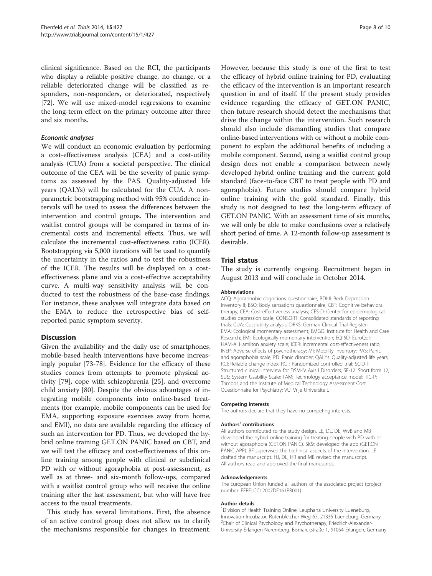clinical significance. Based on the RCI, the participants who display a reliable positive change, no change, or a reliable deteriorated change will be classified as responders, non-responders, or deteriorated, respectively [[72\]](#page-9-0). We will use mixed-model regressions to examine the long-term effect on the primary outcome after three and six months.

#### Economic analyses

We will conduct an economic evaluation by performing a cost-effectiveness analysis (CEA) and a cost-utility analysis (CUA) from a societal perspective. The clinical outcome of the CEA will be the severity of panic symptoms as assessed by the PAS. Quality-adjusted life years (QALYs) will be calculated for the CUA. A nonparametric bootstrapping method with 95% confidence intervals will be used to assess the differences between the intervention and control groups. The intervention and waitlist control groups will be compared in terms of incremental costs and incremental effects. Thus, we will calculate the incremental cost-effectiveness ratio (ICER). Bootstrapping via 5,000 iterations will be used to quantify the uncertainty in the ratios and to test the robustness of the ICER. The results will be displayed on a costeffectiveness plane and via a cost-effective acceptability curve. A multi-way sensitivity analysis will be conducted to test the robustness of the base-case findings. For instance, these analyses will integrate data based on the EMA to reduce the retrospective bias of selfreported panic symptom severity.

#### **Discussion**

Given the availability and the daily use of smartphones, mobile-based health interventions have become increasingly popular [[73-78\]](#page-9-0). Evidence for the efficacy of these studies comes from attempts to promote physical activity [\[79](#page-9-0)], cope with schizophrenia [\[25](#page-8-0)], and overcome child anxiety [[80\]](#page-9-0). Despite the obvious advantages of integrating mobile components into online-based treatments (for example, mobile components can be used for EMA, supporting exposure exercises away from home, and EMI), no data are available regarding the efficacy of such an intervention for PD. Thus, we developed the hybrid online training GET.ON PANIC based on CBT, and we will test the efficacy and cost-effectiveness of this online training among people with clinical or subclinical PD with or without agoraphobia at post-assessment, as well as at three- and six-month follow-ups, compared with a waitlist control group who will receive the online training after the last assessment, but who will have free access to the usual treatments.

This study has several limitations. First, the absence of an active control group does not allow us to clarify the mechanisms responsible for changes in treatment. However, because this study is one of the first to test the efficacy of hybrid online training for PD, evaluating the efficacy of the intervention is an important research question in and of itself. If the present study provides evidence regarding the efficacy of GET.ON PANIC, then future research should detect the mechanisms that drive the change within the intervention. Such research should also include dismantling studies that compare online-based interventions with or without a mobile component to explain the additional benefits of including a mobile component. Second, using a waitlist control group design does not enable a comparison between newly developed hybrid online training and the current gold standard (face-to-face CBT to treat people with PD and agoraphobia). Future studies should compare hybrid online training with the gold standard. Finally, this study is not designed to test the long-term efficacy of GET.ON PANIC. With an assessment time of six months, we will only be able to make conclusions over a relatively short period of time. A 12-month follow-up assessment is desirable.

#### Trial status

The study is currently ongoing. Recruitment began in August 2013 and will conclude in October 2014.

#### Abbreviations

ACQ: Agoraphobic cognitions questionnaire; BDI-II: Beck Depression Inventory II; BSQ: Body sensations questionnaire; CBT: Cognitive behavioral therapy; CEA: Cost-effectiveness analysis; CES-D: Center for epidemiological studies depression scale; CONSORT: Consolidated standards of reporting trials; CUA: Cost-utility analysis; DRKS: German Clinical Trial Register; EMA: Ecological momentary assessment; EMGO: Institute for Health and Care Research; EMI: Ecologically momentary intervention; EQ-5D: EuroQol; HAM-A: Hamilton anxiety scale; ICER: Incremental cost-effectiveness ratio; INEP: Adverse effects of psychotherapy; MI: Mobility inventory; PAS: Panic and agoraphobia scale; PD: Panic disorder; QALYs: Quality-adjusted life years; RCI: Reliable change index; RCT: Randomized controlled trial; SCID-I: Structured clinical interview for DSM-IV Axis I Disorders; SF-12: Short form 12; SUS: System Usability Scale; TAM: Technology acceptance model; TiC-P: Trimbos and the Institute of Medical Technology Assessment Cost Questionnaire for Psychiatry; VU: Vrije Universiteit.

#### Competing interests

The authors declare that they have no competing interests.

#### Authors' contributions

All authors contributed to the study design. LE, DL, DE, WvB and MB developed the hybrid online training for treating people with PD with or without agoraphobia (GET.ON PANIC). SKSt developed the app (GET.ON PANIC APP). BF supervised the technical aspects of the intervention. LE drafted the manuscript. HJ, DL, HR and MB revised the manuscript. All authors read and approved the final manuscript.

#### Acknowledgements

The European Union funded all authors of the associated project (project number: EFRE: CCI 2007DE161PR001).

#### Author details

<sup>1</sup> Division of Health Training Online, Leuphana University Lueneburg, Innovation Incubator, Rotenbleicher Weg 67, 21335 Lueneburg, Germany. 2 Chair of Clinical Psychology and Psychotherapy, Friedrich-Alexander-University Erlangen-Nuremberg, Bismarckstraße 1, 91054 Erlangen, Germany.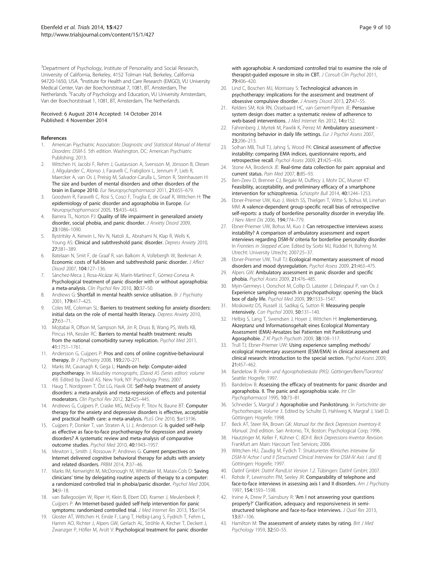<span id="page-8-0"></span><sup>3</sup>Department of Psychology, Institute of Personality and Social Research, University of California, Berkeley, 4152 Tolman Hall, Berkeley, California 94720-1650, USA. <sup>4</sup>Institute for Health and Care Research (EMGO), VU University Medical Center, Van der Boechorststraat 7, 1081, BT, Amsterdam, The Netherlands. <sup>5</sup>Faculty of Psychology and Education, VU University Amsterdam, Van der Boechorststraat 1, 1081, BT, Amsterdam, The Netherlands.

#### Received: 6 August 2014 Accepted: 14 October 2014 Published: 4 November 2014

#### References

- American Psychiatric Association: Diagnostic and Statistical Manual of Mental Disorders: DSM-5. 5th edition. Washington, DC: American Psychiatric Publishing; 2013.
- 2. Wittchen H, Jacobi F, Rehm J, Gustavsson A, Svensson M, Jönsson B, Olesen J, Allgulander C, Alonso J, Faravelli C, Fratiglioni L, Jennum P, Lieb R, Maercker A, van Os J, Preisig M, Salvador-Carulla L, Simon R, Steinhausen H: The size and burden of mental disorders and other disorders of the brain in Europe 2010. Eur Neuropsychopharmacol 2011, 21:655–679.
- Goodwin R, Faravelli C, Rosi S, Cosci F, Truglia E, de Graaf R, Wittchen H: The epidemiology of panic disorder and agoraphobia in Europe. Eur Neuropsychopharmacol 2005, 15:435–443.
- 4. Barrera TL, Norton PJ: Quality of life impairment in generalized anxiety disorder, social phobia, and panic disorder. J Anxiety Disord 2009, 23:1086–1090.
- Bystritsky A, Kerwin L, Niv N, Natoli JL, Abrahami N, Klap R, Wells K, Young AS: Clinical and subthreshold panic disorder. Depress Anxiety 2010, 27:381–389.
- 6. Batelaan N, Smit F, de Graaf R, van Balkom A, Vollebergh W, Beekman A: Economic costs of full-blown and subthreshold panic disorder. J Affect Disord 2007, 104:127–136.
- 7. Sánchez-Meca J, Rosa-Alcázar AI, Marín-Martínez F, Gómez-Conesa A: Psychological treatment of panic disorder with or without agoraphobia: a meta-analysis. Clin Psychol Rev 2010, 30:37–50.
- Andrews G: Shortfall in mental health service utilisation. Br J Psychiatry 2001, 179:417–425.
- 9. Coles ME, Coleman SL: Barriers to treatment seeking for anxiety disorders: initial data on the role of mental health literacy. Depress Anxiety 2010, 27:63–71.
- 10. Mojtabai R, Olfson M, Sampson NA, Jin R, Druss B, Wang PS, Wells KB, Pincus HA, Kessler RC: Barriers to mental health treatment: results from the national comorbidity survey replication. Psychol Med 2011, 41:1751–1761.
- 11. Andersson G, Cuijpers P: Pros and cons of online cognitive-behavioural therapy. Br J Psychiatry 2008, 193:270–271.
- 12. Marks IM, Cavanagh K, Gega L: Hands-on help: Computer-aided psychotherapy. In Maudsley monographs, (David AS (Series editor): volume 49). Edited by David AS. New York, NY: Psychology Press; 2007.
- 13. Haug T, Nordgreen T, Öst LG, Havik OE: Self-help treatment of anxiety disorders: a meta-analysis and meta-regression of effects and potential moderators. Clin Psychol Rev 2012, 32:425–445.
- 14. Andrews G, Cuijpers P, Craske MG, McEvoy P, Titov N, Baune BT: Computer therapy for the anxiety and depressive disorders is effective, acceptable and practical health care: a meta-analysis. PLoS One 2010, 5:e13196.
- 15. Cuijpers P, Donker T, van Straten A, Li J, Andersson G: Is guided self-help as effective as face-to-face psychotherapy for depression and anxiety disorders? A systematic review and meta-analysis of comparative outcome studies. Psychol Med 2010, 40:1943–1957.
- 16. Mewton L, Smith J, Rossouw P, Andrews G: Current perspectives on Internet delivered cognitive behavioral therapy for adults with anxiety and related disorders. PRBM 2014, 7:37–46.
- 17. Marks IM, Kenwright M, McDonough M, Whittaker M, Mataix-Cols D: Saving clinicians' time by delegating routine aspects of therapy to a computer: a randomized controlled trial in phobia/panic disorder. Psychol Med 2004, 34:9–18.
- 18. van Ballegooijen W, Riper H, Klein B, Ebert DD, Kramer J, Meulenbeek P, Cuijpers P: An Internet-based guided self-help intervention for panic symptoms: randomized controlled trial. J Med Internet Res 2013, 15:e154.
- 19. Gloster AT, Wittchen H, Einsle F, Lang T, Helbig-Lang S, Fydrich T, Fehm L, Hamm AO, Richter J, Alpers GW, Gerlach AL, Ströhle A, Kircher T, Deckert J, Zwanzger P, Höfler M, Arolt V: Psychological treatment for panic disorder

with agoraphobia: A randomized controlled trial to examine the role of therapist-quided exposure in situ in CBT. J Consult Clin Psychol 2011, 79:406–420.

- 20. Lind C, Boschen MJ, Morrissey S: Technological advances in psychotherapy: implications for the assessment and treatment of obsessive compulsive disorder. J Anxiety Disord 2013, 27:47–55.
- 21. Kelders SM, Kok RN, Ossebaard HC, van Gemert-Pijnen JE: Persuasive system design does matter: a systematic review of adherence to web-based interventions. J Med Internet Res 2012, 14:e152.
- 22. Fahrenberg J, Myrtek M, Pawlik K, Perrez M: Ambulatory assessment monitoring behavior in daily life settings. Eur J Psychol Assess 2007, 23:206–213.
- 23. Solhan MB, Trull TJ, Jahng S, Wood PK: Clinical assessment of affective instability: comparing EMA indices, questionnaire reports, and retrospective recall. Psychol Assess 2009, 21:425–436.
- 24. Stone AA, Broderick JE: Real-time data collection for pain: appraisal and current status. Pain Med 2007, 8:85–93.
- 25. Ben-Zeev D, Brenner CJ, Begale M, Duffecy J, Mohr DC, Mueser KT: Feasibility, acceptability, and preliminary efficacy of a smartphone intervention for schizophrenia. Schizophr Bull 2014, 40:1244–1253.
- 26. Ebner-Priemer UW, Kuo J, Welch SS, Thielgen T, Witte S, Bohus M, Linehan MM: A valence-dependent group-specific recall bias of retrospective self-reports: a study of borderline personality disorder in everyday life. J Nerv Ment Dis 2006, 194:774–779.
- 27. Ebner-Priemer UW, Bohus M, Kuo J: Can retrospective interviews assess instability? A comparison of ambulatory assessment and expert interviews regarding DSM-IV criteria for borderline personality disorder. In Frontiers in Stepped eCare. Edited by Sorbi MJ, Rüddel H, Bühring M. Utrecht: University Utrecht; 2007:25–37.
- 28. Ebner-Priemer UW, Trull TJ: Ecological momentary assessment of mood disorders and mood dysregulation. Psychol Assess 2009, 21:463–475.
- 29. Alpers GW: Ambulatory assessment in panic disorder and specific phobia. Psychol Assess 2009, 21:476–485.
- 30. Myin-Germeys I, Oorschot M, Collip D, Lataster J, Delespaul P, van Os J: Experience sampling research in psychopathology: opening the black box of daily life. Psychol Med 2009, 39:1533–1547.
- 31. Moskowitz DS, Russell JJ, Sadikaj G, Sutton R: Measuring people intensively. Can Psychol 2009, 50:131–140.
- 32. Helbig S, Lang T, Swendsen J, Hoyer J, Wittchen H: Implementierung, Akzeptanz und Informationsgehalt eines Ecological Momentary Assessment (EMA)-Ansatzes bei Patienten mit Panikstörung und Agoraphobie. Z Kl Psych Psychoth 2009, 38:108–117.
- 33. Trull TJ, Ebner-Priemer UW: Using experience sampling methods/ ecological momentary assessment (ESM/EMA) in clinical assessment and clinical research: introduction to the special section. Psychol Assess 2009, 21:457–462.
- 34. Bandelow B: Panik- und Agoraphobieskala (PAS). Göttingen/Bern/Toronto/ Seattle: Hogrefe; 1997.
- 35. Bandelow B: Assessing the efficacy of treatments for panic disorder and agoraphobia. II. The panic and agoraphobia scale. Int Clin Psychopharmacol 1995, 10:73–81.
- 36. Schneider S, Margraf J: Agoraphobie und Panikstörung. In Fortschritte der Psychotherapie, Volume 3. Edited by Schulte D, Hahlweg K, Margraf J, Vaitl D. Göttingen: Hogrefe; 1998.
- 37. Beck AT, Steer RA, Brown GK: Manual for the Beck Depression Inventory-II: Manual. 2nd edition. San Antonio, TX, Boston: Psychological Corp; 1996.
- 38. Hautzinger M, Keller F, Kühner C: BDI-II. Beck Depressions-Inventar Revision. Frankfurt am Main: Harcourt Test Services; 2006.
- 39. Wittchen HU, Zaudig M, Fydich T: Strukturiertes Klinisches Interview für DSM-IV Achse I und II [Structured Clinical Interview for DSM-IV Axis I and II]. Göttingen: Hogrefe; 1997.
- 40. DatInf GmbH: DatInf RandList Version 1.2. Tübingen: DatInf GmbH; 2007.
- 41. Rohde P, Lewinsohn PM, Seeley JR: Comparability of telephone and face-to-face interviews in assessing axis I and II disorders. Am J Psychiatry 1997, 154:1593–1598.
- 42. Irvine A, Drew P, Sainsbury R: 'Am I not answering your questions properly?' Clarification, adequacy and responsiveness in semistructured telephone and face-to-face interviews. J Qual Res 2013, 13:87–106.
- 43. Hamilton M: The assessment of anxiety states by rating. Brit J Med Psychology 1959, 32:50–55.